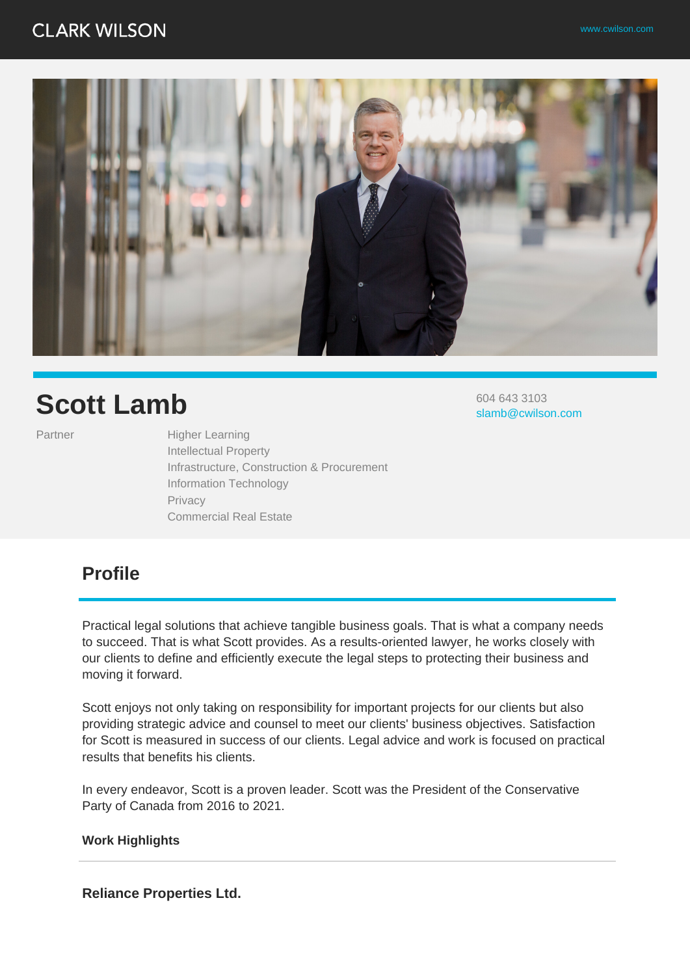

# **Scott Lamb**

Partner Higher Learning Intellectual Property Infrastructure, Construction & Procurement Information Technology Privacy Commercial Real Estate

604 643 3103 slamb@cwilson.com

# **Profile**

Practical legal solutions that achieve tangible business goals. That is what a company needs to succeed. That is what Scott provides. As a results-oriented lawyer, he works closely with our clients to define and efficiently execute the legal steps to protecting their business and moving it forward.

Scott enjoys not only taking on responsibility for important projects for our clients but also providing strategic advice and counsel to meet our clients' business objectives. Satisfaction for Scott is measured in success of our clients. Legal advice and work is focused on practical results that benefits his clients.

In every endeavor, Scott is a proven leader. Scott was the President of the Conservative Party of Canada from 2016 to 2021.

#### **Work Highlights**

**Reliance Properties Ltd.**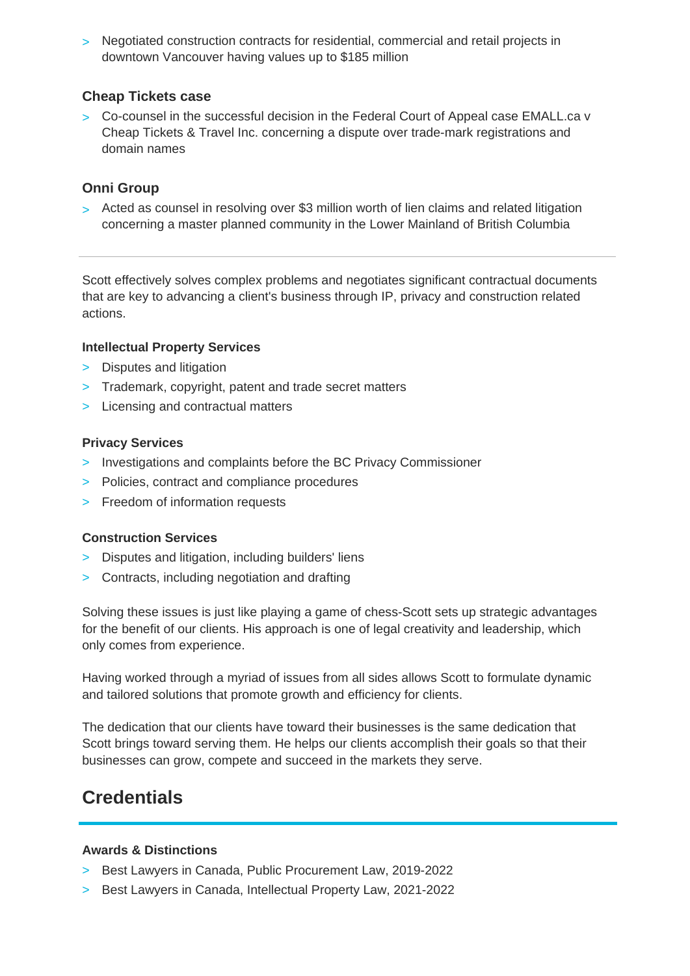> Negotiated construction contracts for residential, commercial and retail projects in downtown Vancouver having values up to \$185 million

#### **Cheap Tickets case**

> Co-counsel in the successful decision in the Federal Court of Appeal case EMALL.ca v Cheap Tickets & Travel Inc. concerning a dispute over trade-mark registrations and domain names

## **Onni Group**

> Acted as counsel in resolving over \$3 million worth of lien claims and related litigation concerning a master planned community in the Lower Mainland of British Columbia

Scott effectively solves complex problems and negotiates significant contractual documents that are key to advancing a client's business through IP, privacy and construction related actions.

#### **Intellectual Property Services**

- > Disputes and litigation
- > Trademark, copyright, patent and trade secret matters
- > Licensing and contractual matters

#### **Privacy Services**

- > Investigations and complaints before the BC Privacy Commissioner
- > Policies, contract and compliance procedures
- > Freedom of information requests

### **Construction Services**

- > Disputes and litigation, including builders' liens
- > Contracts, including negotiation and drafting

Solving these issues is just like playing a game of chess-Scott sets up strategic advantages for the benefit of our clients. His approach is one of legal creativity and leadership, which only comes from experience.

Having worked through a myriad of issues from all sides allows Scott to formulate dynamic and tailored solutions that promote growth and efficiency for clients.

The dedication that our clients have toward their businesses is the same dedication that Scott brings toward serving them. He helps our clients accomplish their goals so that their businesses can grow, compete and succeed in the markets they serve.

# **Credentials**

#### **Awards & Distinctions**

- > Best Lawyers in Canada, Public Procurement Law, 2019-2022
- > Best Lawyers in Canada, Intellectual Property Law, 2021-2022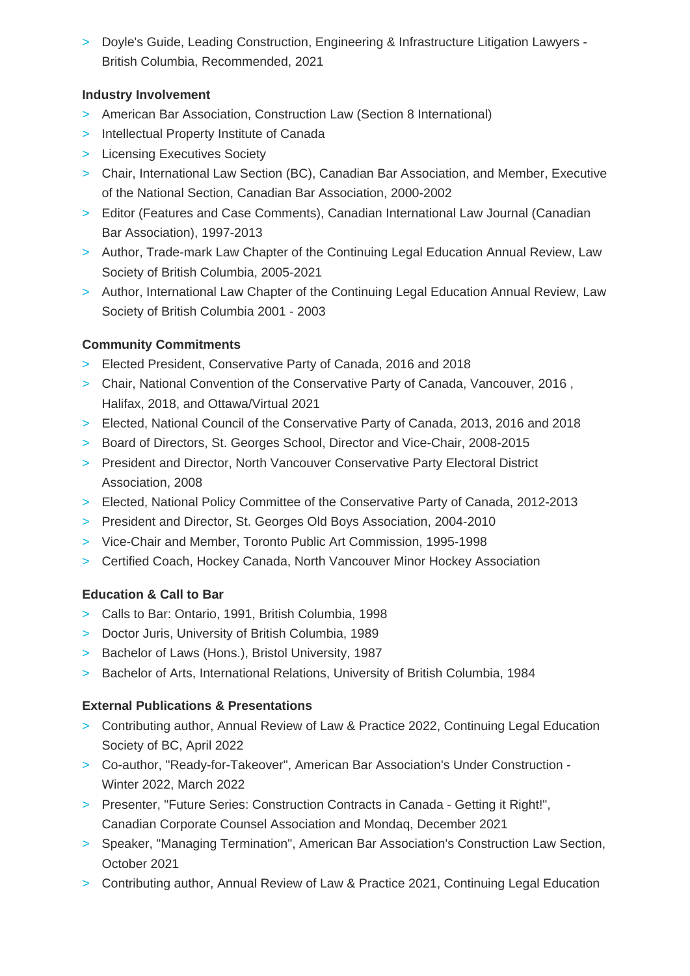> Doyle's Guide, Leading Construction, Engineering & Infrastructure Litigation Lawyers - British Columbia, Recommended, 2021

# **Industry Involvement**

- > American Bar Association, Construction Law (Section 8 International)
- > Intellectual Property Institute of Canada
- > Licensing Executives Society
- > Chair, International Law Section (BC), Canadian Bar Association, and Member, Executive of the National Section, Canadian Bar Association, 2000-2002
- > Editor (Features and Case Comments), Canadian International Law Journal (Canadian Bar Association), 1997-2013
- > Author, Trade-mark Law Chapter of the Continuing Legal Education Annual Review, Law Society of British Columbia, 2005-2021
- > Author, International Law Chapter of the Continuing Legal Education Annual Review, Law Society of British Columbia 2001 - 2003

## **Community Commitments**

- > Elected President, Conservative Party of Canada, 2016 and 2018
- > Chair, National Convention of the Conservative Party of Canada, Vancouver, 2016 , Halifax, 2018, and Ottawa/Virtual 2021
- > Elected, National Council of the Conservative Party of Canada, 2013, 2016 and 2018
- > Board of Directors, St. Georges School, Director and Vice-Chair, 2008-2015
- > President and Director, North Vancouver Conservative Party Electoral District Association, 2008
- > Elected, National Policy Committee of the Conservative Party of Canada, 2012-2013
- > President and Director, St. Georges Old Boys Association, 2004-2010
- > Vice-Chair and Member, Toronto Public Art Commission, 1995-1998
- > Certified Coach, Hockey Canada, North Vancouver Minor Hockey Association

### **Education & Call to Bar**

- > Calls to Bar: Ontario, 1991, British Columbia, 1998
- > Doctor Juris, University of British Columbia, 1989
- > Bachelor of Laws (Hons.), Bristol University, 1987
- > Bachelor of Arts, International Relations, University of British Columbia, 1984

# **External Publications & Presentations**

- > Contributing author, Annual Review of Law & Practice 2022, Continuing Legal Education Society of BC, April 2022
- > Co-author, "Ready-for-Takeover", American Bar Association's Under Construction Winter 2022, March 2022
- > Presenter, "Future Series: Construction Contracts in Canada Getting it Right!", Canadian Corporate Counsel Association and Mondaq, December 2021
- > Speaker, "Managing Termination", American Bar Association's Construction Law Section, October 2021
- > Contributing author, Annual Review of Law & Practice 2021, Continuing Legal Education